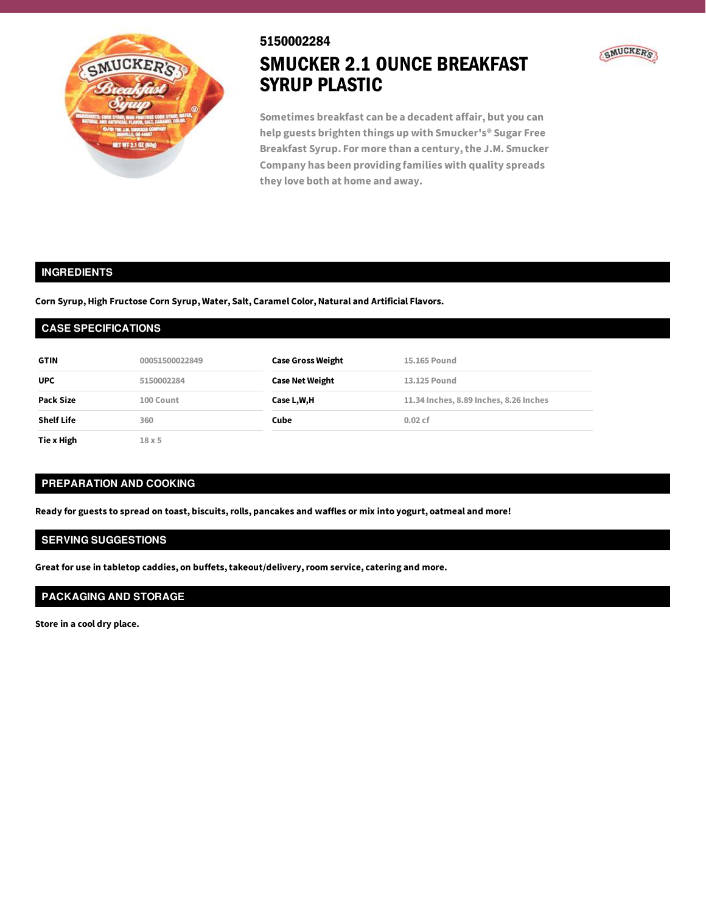

### 5150002284



**Sometimes breakfast can be a decadent affair, but you can help guests brighten things up with Smucker's® Sugar Free Breakfast Syrup. For more than a century,the J.M. Smucker Company has been providing families with quality spreads they love both at home and away.**

### **INGREDIENTS**

**Corn Syrup, High Fructose Corn Syrup, Water, Salt, Caramel Color, Natural and Artificial Flavors.**

#### **CASE SPECIFICATIONS**

| <b>GTIN</b>       | 00051500022849    | <b>Case Gross Weight</b> | 15.165 Pound                           |
|-------------------|-------------------|--------------------------|----------------------------------------|
| <b>UPC</b>        | 5150002284        | <b>Case Net Weight</b>   | 13.125 Pound                           |
| Pack Size         | 100 Count         | Case L,W,H               | 11.34 Inches, 8.89 Inches, 8.26 Inches |
| <b>Shelf Life</b> | 360               | Cube                     | $0.02$ cf                              |
| Tie x High        | 18 <sub>X</sub> 5 |                          |                                        |

## **PREPARATION AND COOKING**

Ready for guests to spread on toast, biscuits, rolls, pancakes and waffles or mix into yogurt, oatmeal and more!

# **SERVING SUGGESTIONS**

**Great for use in tabletop caddies, on buffets,takeout/delivery,room service, catering and more.**

# **PACKAGING AND STORAGE**

**Store in a cool dry place.**